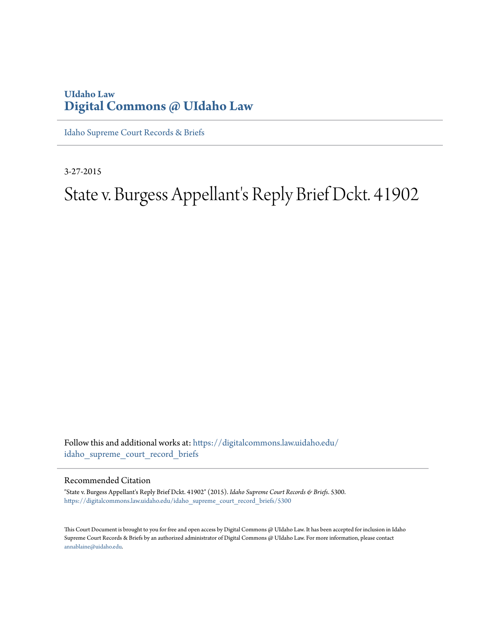#### **UIdaho Law [Digital Commons @ UIdaho Law](https://digitalcommons.law.uidaho.edu?utm_source=digitalcommons.law.uidaho.edu%2Fidaho_supreme_court_record_briefs%2F5300&utm_medium=PDF&utm_campaign=PDFCoverPages)**

[Idaho Supreme Court Records & Briefs](https://digitalcommons.law.uidaho.edu/idaho_supreme_court_record_briefs?utm_source=digitalcommons.law.uidaho.edu%2Fidaho_supreme_court_record_briefs%2F5300&utm_medium=PDF&utm_campaign=PDFCoverPages)

3-27-2015

## State v. Burgess Appellant's Reply Brief Dckt. 41902

Follow this and additional works at: [https://digitalcommons.law.uidaho.edu/](https://digitalcommons.law.uidaho.edu/idaho_supreme_court_record_briefs?utm_source=digitalcommons.law.uidaho.edu%2Fidaho_supreme_court_record_briefs%2F5300&utm_medium=PDF&utm_campaign=PDFCoverPages) [idaho\\_supreme\\_court\\_record\\_briefs](https://digitalcommons.law.uidaho.edu/idaho_supreme_court_record_briefs?utm_source=digitalcommons.law.uidaho.edu%2Fidaho_supreme_court_record_briefs%2F5300&utm_medium=PDF&utm_campaign=PDFCoverPages)

#### Recommended Citation

"State v. Burgess Appellant's Reply Brief Dckt. 41902" (2015). *Idaho Supreme Court Records & Briefs*. 5300. [https://digitalcommons.law.uidaho.edu/idaho\\_supreme\\_court\\_record\\_briefs/5300](https://digitalcommons.law.uidaho.edu/idaho_supreme_court_record_briefs/5300?utm_source=digitalcommons.law.uidaho.edu%2Fidaho_supreme_court_record_briefs%2F5300&utm_medium=PDF&utm_campaign=PDFCoverPages)

This Court Document is brought to you for free and open access by Digital Commons @ UIdaho Law. It has been accepted for inclusion in Idaho Supreme Court Records & Briefs by an authorized administrator of Digital Commons @ UIdaho Law. For more information, please contact [annablaine@uidaho.edu](mailto:annablaine@uidaho.edu).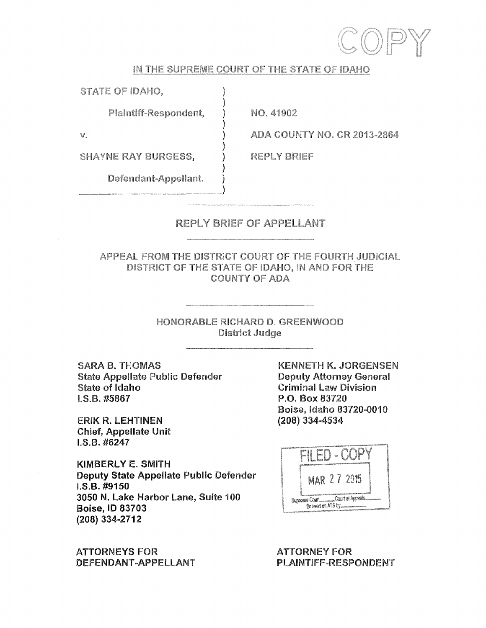

#### **IN THE SUPREME COURT OF THE STATE OF IDAHO**

)

)

)

)

**STATE OF IDAHO,** )

**Plaintiff-Respondent,** )

**NO. 41902** 

**REPLY BRIEF** 

**ADA COUNTY NO. CR 2013-2864** 

 $v.$  )

**SHAYNE RAY BURGESS,** )

Defendant-Appellant.

#### **REPLY BRIEF OF APPELLANT**

**APPEAL FROM THE DISTRICT COURT OF THE FOURTH JUDICIAL DISTRICT OF THE STATE OF IDAHO, IN AND FOR THE COUNTY OF ADA** 

> **HONORABLE RICHARD D. GREENWOOD District Judge**

**SARA B. THOMAS**  State Appellate Public Defender State of Idaho I.S.B. #5867

ERIK R. LEHTINEN Chief, Appellate Unit I.S.B. #6247

KIMBERLY E. SMITH **Deputy State Appellate Public Defender I.S.B. #9150 3050 N. Lake Harbor Lane, Suite 100 Boise, ID 83703 (208) 334-2712** 

**ATTORNEYS FOR DEFENDANT-APPELLANT**  **KENNETH K. JORGENSEN**  Deputy Attorney **General**  Criminal Law Division P .0. Box 83720 Boise, Idaho 83720-0010 (208) 334-4534



**ATTORNEY FOR PLAINTIFF-RESPONDENT**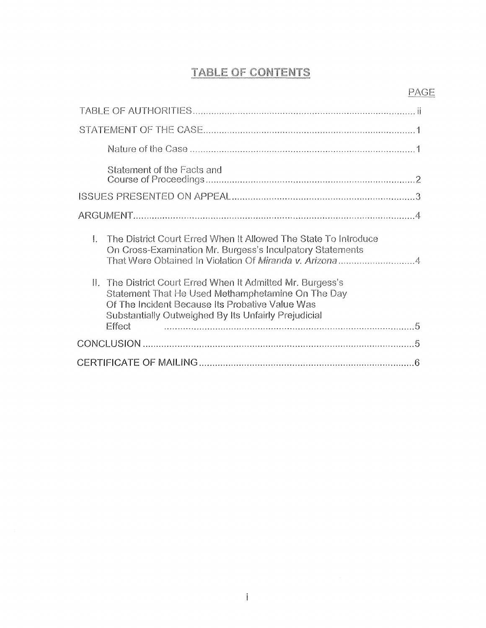# TABLE OF CONTENTS PAGE

| Statement of the Facts and                                                                                                                                                                                                            |
|---------------------------------------------------------------------------------------------------------------------------------------------------------------------------------------------------------------------------------------|
|                                                                                                                                                                                                                                       |
|                                                                                                                                                                                                                                       |
| $\mathbf{L}$<br>The District Court Erred When It Allowed The State To Introduce<br>On Cross-Examination Mr. Burgess's Inculpatory Statements<br>That Were Obtained In Violation Of Miranda v. Arizona4                                |
| II. The District Court Erred When It Admitted Mr. Burgess's<br>Statement That He Used Methamphetamine On The Day<br>Of The Incident Because Its Probative Value Was<br>Substantially Outweighed By Its Unfairly Prejudicial<br>Effect |
|                                                                                                                                                                                                                                       |
|                                                                                                                                                                                                                                       |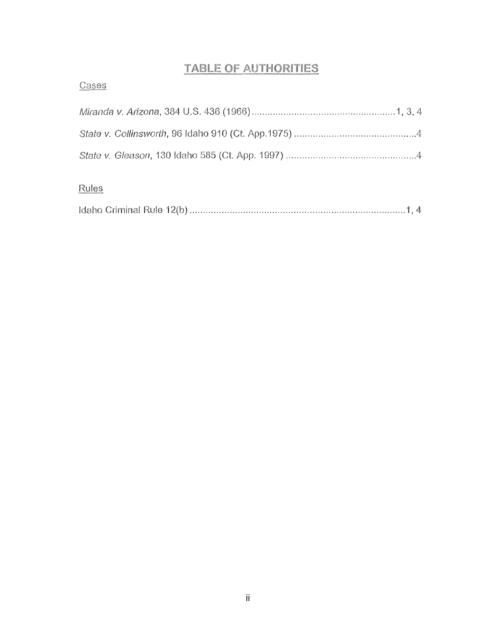### **TABLE OF AUTHORITIES**

| Cases |
|-------|
|       |
|       |
|       |
| Rules |

|--|--|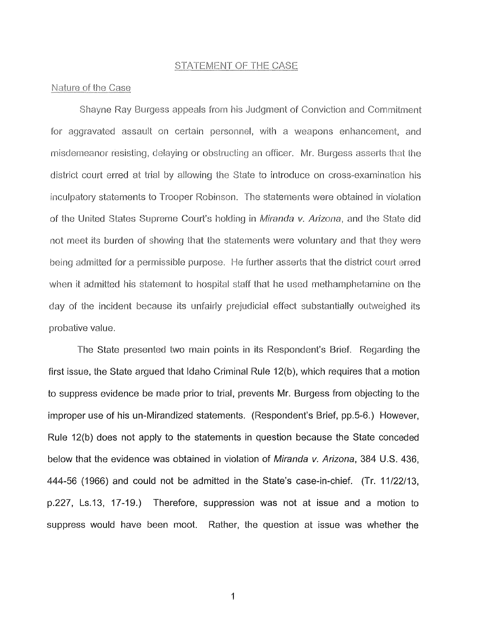#### STATEMENT OF THE CASE

#### Nature of the Case

Shayne Ray Burgess appeals from his Judgment of Conviction and Commitment for aggravated assault on certain personnel, with a weapons enhancement, and misdemeanor resisting, delaying or obstructing an officer. Mr. Burgess asserts that the district court erred at trial by allowing the State to introduce on cross-examination his inculpatory statements to Trooper Robinson. The statements were obtained in violation of the United States Supreme Court's holding in Miranda v. Arizona, and the State did not meet its burden of showing that the statements were voluntary and that they were being admitted for a permissible purpose. He further asserts that the district court erred when it admitted his statement to hospital staff that he used methamphetamine on the day of the incident because its unfairly prejudicial effect substantially outweighed its probative value.

The State presented two main points in its Respondent's Brief. Regarding the first issue, the State argued that Idaho Criminal Rule 12(b ), which requires that a motion to suppress evidence be made prior to trial, prevents Mr. Burgess from objecting to the improper use of his un-Mirandized statements. (Respondent's Brief, pp.5-6.) However, Rule 12(b) does not apply to the statements in question because the State conceded below that the evidence was obtained in violation of *Miranda v. Arizona*, 384 U.S. 436, 444-56 (1966) and could not be admitted in the State's case-in-chief. (Tr. 11/22/13, p.227, Ls.13, 17-19.) Therefore, suppression was not at issue and a motion to suppress would have been moot. Rather, the question at issue was whether the

1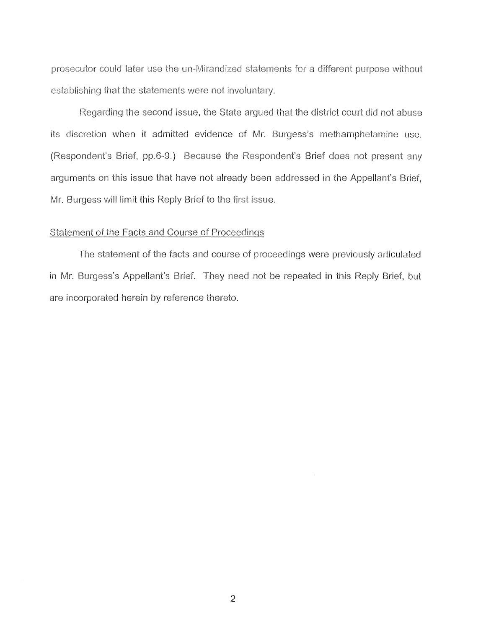prosecutor could later use the un-Mirandized statements for a different purpose without establishing that the statements were not involuntary.

Regarding the second issue, the State argued that the district court did not abuse its discretion when it admitted evidence of Mr. Burgess's methamphetamine use. (Respondent's Brief, pp.6-9.) Because the Respondent's Brief does not present any arguments on this issue that have not already been addressed in the Appellant's Brief, **Mr.** Burgess will limit this Reply Brief to the first issue.

#### Statement of the Facts and Course of Proceedings

The statement of the facts and course of proceedings were previously articulated in **Mr.** Burgess's Appellant's Brief. They need not be repeated in this Reply Brief, but are incorporated herein by reference thereto.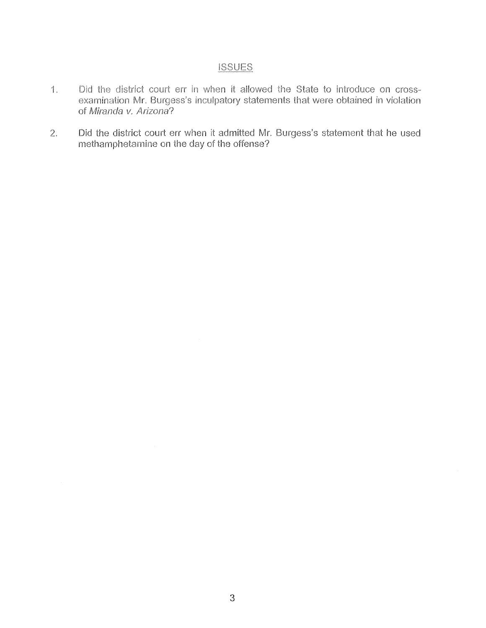#### **iSSUES**

- ·1. Did the district court err in when it allowed the State to introduce on crossexamination Mr. Burgess's inculpatory statements that were obtained in violation of Miranda v. Arizona?
- 2. Did the district court err when it admitted Mr. Burgess's statement that he used methamphetamine on the day of the offense?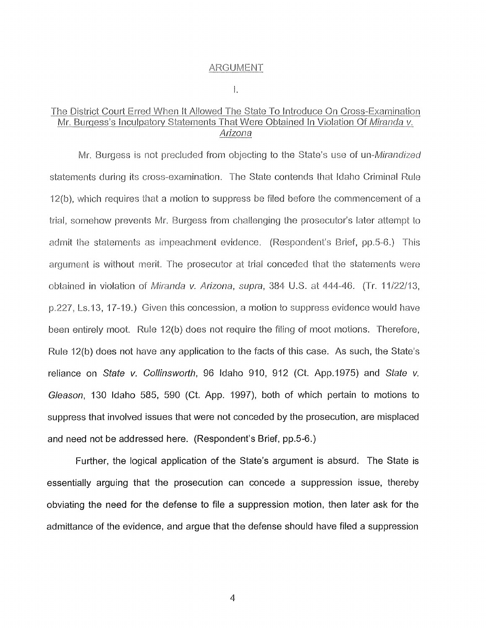#### ARGUMENT

I.

#### The District Court Erred When It Allowed The State To Introduce On Cross-Examination Mr. Burgess's Inculpatory Statements That Were Obtained In Violation Of Miranda v. Arizona

Mr. Burgess is not precluded from objecting to the State's use of un-Mirandized statements during its cross-examination. The State contends that Idaho Criminal Rule 12(b), which requires that a motion to suppress be filed before the commencement of a trial, somehow prevents Mr. Burgess from challenging the prosecutor's later attempt to admit the statements as impeachment evidence. (Respondent's Brief, pp.5-6.) This argument is without merit. The prosecutor at trial conceded that the statements were obtained in violation of Miranda v. Arizona, supra, 384 U.S. at 444-46. (Tr. 11/22/13, p.227, Ls.13, 17-19.) Given this concession, a motion to suppress evidence would have been entirely moot. Rule 12(b) does not require the filing of moot motions. Therefore, Rule 12(b) does not have any application to the facts of this case. As such, the State's reliance on State v. Collinsworth, 96 Idaho 910, 912 (Ct. App.1975) and State v. Gleason, 130 Idaho 585, 590 (Ct. App. 1997), both of which pertain to motions to suppress that involved issues that were not conceded by the prosecution, are misplaced and need not be addressed here. (Respondent's Brief, pp.5-6.)

Further, the logical application of the State's argument is absurd. The State is essentially arguing that the prosecution can concede a suppression issue, thereby obviating the need for the defense to file a suppression motion, then later ask for the admittance of the evidence, and argue that the defense should have filed a suppression

4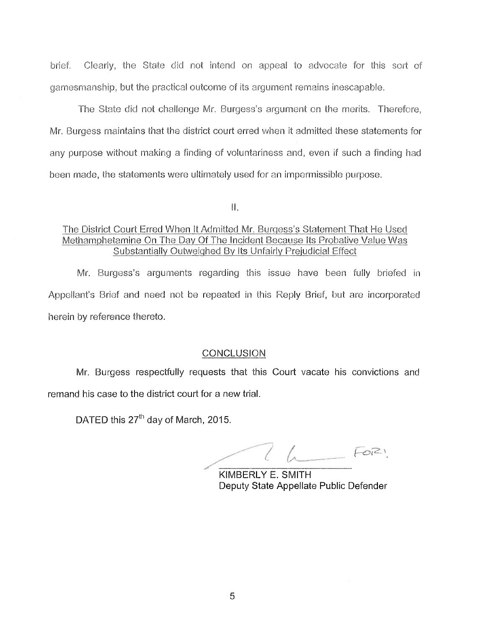brief. Clearly, the State did not intend on appeal to advocate for this sort of gamesmanship, but the practical outcome of its argument remains inescapable.

The State did not challenge Mr. Burgess's argument on the merits. Therefore, Mr. Burgess maintains that the district court erred when it admitted these statements for any purpose without making a finding of voluntariness and, even if such a finding had been made, the statements were ultimately used for an impermissible purpose.

11.

#### The District Court Erred When It Admitted Mr. Burgess's Statement That He Used Methamphetamine On The Day Of The Incident Because Its Probative Value Was Substantially Outweighed By Its Unfairly Prejudicial Effect

Mr. Burgess's arguments regarding this issue have been fully briefed in Appellant's Brief and need not be repeated in this Reply Brief, but are incorporated herein by reference thereto.

#### **CONCLUSION**

Mr. Burgess respectfully requests that this Court vacate his convictions and remand his case to the district court for a new trial.

DATED this  $27<sup>th</sup>$  day of March, 2015.

 $1.7621$ 

**KIMBERLY E. SMITH**  Deputy State Appellate Public Defender